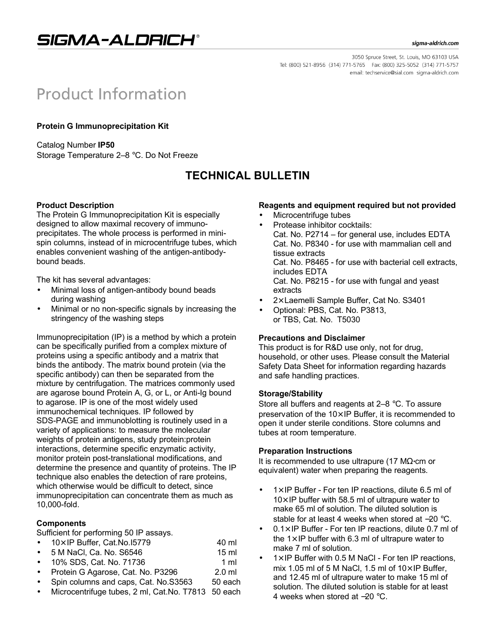SIGMA-ALDRICH®

#### sigma-aldrich.com

3050 Spruce Street, St. Louis, MO 63103 USA Tel: (800) 521-8956 (314) 771-5765 Fax: (800) 325-5052 (314) 771-5757 email: techservice@sial.com sigma-aldrich.com

# **Product Information**

# **Protein G Immunoprecipitation Kit**

Catalog Number **IP50** Storage Temperature 2–8 °C. Do Not Freeze

# **TECHNICAL BULLETIN**

#### **Product Description**

The Protein G Immunoprecipitation Kit is especially designed to allow maximal recovery of immunoprecipitates. The whole process is performed in minispin columns, instead of in microcentrifuge tubes, which enables convenient washing of the antigen-antibodybound beads.

The kit has several advantages:

- Minimal loss of antigen-antibody bound beads during washing
- Minimal or no non-specific signals by increasing the stringency of the washing steps

Immunoprecipitation (IP) is a method by which a protein can be specifically purified from a complex mixture of proteins using a specific antibody and a matrix that binds the antibody. The matrix bound protein (via the specific antibody) can then be separated from the mixture by centrifugation. The matrices commonly used are agarose bound Protein A, G, or L, or Anti-Ig bound to agarose. IP is one of the most widely used immunochemical techniques. IP followed by SDS-PAGE and immunoblotting is routinely used in a variety of applications: to measure the molecular weights of protein antigens, study protein:protein interactions, determine specific enzymatic activity, monitor protein post-translational modifications, and determine the presence and quantity of proteins. The IP technique also enables the detection of rare proteins, which otherwise would be difficult to detect, since immunoprecipitation can concentrate them as much as 10,000-fold.

# **Components**

Sufficient for performing 50 IP assays.

- $\bullet$  10 $\times$  IP Buffer, Cat. No. 15779 40 ml
- 5 M NaCl, Ca. No. S6546 15 ml
- 10% SDS, Cat. No. 71736 1 ml
- Protein G Agarose, Cat. No. P3296 2.0 ml
- Spin columns and caps, Cat. No.S3563 50 each
- Microcentrifuge tubes, 2 ml, Cat.No. T7813 50 each

# **Reagents and equipment required but not provided**

- Microcentrifuge tubes
- Protease inhibitor cocktails: Cat. No. P2714 – for general use, includes EDTA Cat. No. P8340 - for use with mammalian cell and tissue extracts Cat. No. P8465 - for use with bacterial cell extracts, includes EDTA Cat. No. P8215 - for use with fungal and yeast extracts
- 2× Laemelli Sample Buffer, Cat No. S3401
- Optional: PBS, Cat. No. P3813, or TBS, Cat. No. T5030

#### **Precautions and Disclaimer**

This product is for R&D use only, not for drug, household, or other uses. Please consult the Material Safety Data Sheet for information regarding hazards and safe handling practices.

#### **Storage/Stability**

Store all buffers and reagents at 2–8 °C. To assure preservation of the  $10\times$  IP Buffer, it is recommended to open it under sterile conditions. Store columns and tubes at room temperature.

#### **Preparation Instructions**

It is recommended to use ultrapure (17 MΩ⋅cm or equivalent) water when preparing the reagents.

- $1\times$  IP Buffer For ten IP reactions, dilute 6.5 ml of  $10\times$  IP buffer with 58.5 ml of ultrapure water to make 65 ml of solution. The diluted solution is stable for at least 4 weeks when stored at −20 °C.
- $0.1 \times$  IP Buffer For ten IP reactions, dilute 0.7 ml of the  $1 \times$  IP buffer with 6.3 ml of ultrapure water to make 7 ml of solution.
- $1 \times$  IP Buffer with 0.5 M NaCl For ten IP reactions, mix 1.05 ml of 5 M NaCl, 1.5 ml of  $10\times$  IP Buffer, and 12.45 ml of ultrapure water to make 15 ml of solution. The diluted solution is stable for at least 4 weeks when stored at −20 °C.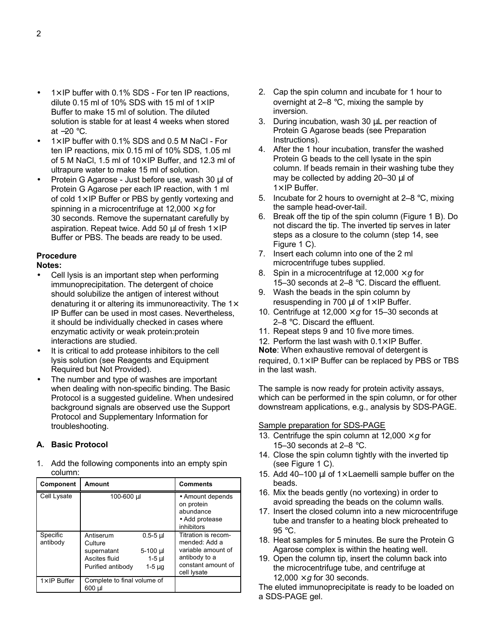- $1 \times$  IP buffer with 0.1% SDS For ten IP reactions, dilute 0.15 ml of 10% SDS with 15 ml of  $1 \times$  IP Buffer to make 15 ml of solution. The diluted solution is stable for at least 4 weeks when stored at −20 °C.
- $\bullet$  1 $\times$  IP buffer with 0.1% SDS and 0.5 M NaCl For ten IP reactions, mix 0.15 ml of 10% SDS, 1.05 ml of 5 M NaCl, 1.5 ml of 10 $\times$  IP Buffer, and 12.3 ml of ultrapure water to make 15 ml of solution.
- Protein G Agarose Just before use, wash 30 μl of Protein G Agarose per each IP reaction, with 1 ml of cold  $1\times$  IP Buffer or PBS by gently vortexing and spinning in a microcentrifuge at 12,000 × *g* for 30 seconds. Remove the supernatant carefully by aspiration. Repeat twice. Add 50  $\mu$ l of fresh 1 $\times$  IP Buffer or PBS. The beads are ready to be used.

# **Procedure**

- **Notes:**
- Cell lysis is an important step when performing immunoprecipitation. The detergent of choice should solubilize the antigen of interest without denaturing it or altering its immunoreactivity. The  $1\times$ IP Buffer can be used in most cases. Nevertheless, it should be individually checked in cases where enzymatic activity or weak protein:protein interactions are studied.
- It is critical to add protease inhibitors to the cell lysis solution (see Reagents and Equipment Required but Not Provided).
- The number and type of washes are important when dealing with non-specific binding. The Basic Protocol is a suggested guideline. When undesired background signals are observed use the Support Protocol and Supplementary Information for troubleshooting.

# **A. Basic Protocol**

1. Add the following components into an empty spin column:

| Component            | Amount                                                                                                                      | <b>Comments</b>                                                                                                  |
|----------------------|-----------------------------------------------------------------------------------------------------------------------------|------------------------------------------------------------------------------------------------------------------|
| Cell Lysate          | $100 - 600$ µl                                                                                                              | • Amount depends<br>on protein<br>abundance<br>• Add protease<br>inhibitors                                      |
| Specific<br>antibody | Antiserum<br>$0.5 - 5$ µl<br>Culture<br>5-100 µl<br>supernatant<br>Ascites fluid<br>$1-5$ µl<br>Purified antibody<br>1-5 µg | Titration is recom-<br>mended: Add a<br>variable amount of<br>antibody to a<br>constant amount of<br>cell lysate |
| $1 \times$ IP Buffer | Complete to final volume of<br>600 µl                                                                                       |                                                                                                                  |

- 2. Cap the spin column and incubate for 1 hour to overnight at 2–8 °C, mixing the sample by inversion.
- 3. During incubation, wash 30 μL per reaction of Protein G Agarose beads (see Preparation Instructions).
- 4. After the 1 hour incubation, transfer the washed Protein G beads to the cell lysate in the spin column. If beads remain in their washing tube they may be collected by adding 20–30 μl of  $1 \times$  IP Buffer.
- 5. Incubate for 2 hours to overnight at  $2-8$  °C, mixing the sample head-over-tail.
- 6. Break off the tip of the spin column (Figure 1 B). Do not discard the tip. The inverted tip serves in later steps as a closure to the column (step 14, see Figure 1 C).
- 7. Insert each column into one of the 2 ml microcentrifuge tubes supplied.
- 8. Spin in a microcentrifuge at 12,000 × *g* for 15–30 seconds at 2–8 °C. Discard the effluent.
- 9. Wash the beads in the spin column by resuspending in 700 μl of 1× IP Buffer.
- 10. Centrifuge at 12,000  $\times$  *g* for 15–30 seconds at 2–8 °C. Discard the effluent.
- 11. Repeat steps 9 and 10 five more times.

12. Perform the last wash with  $0.1 \times$  IP Buffer. **Note**: When exhaustive removal of detergent is required, 0.1× IP Buffer can be replaced by PBS or TBS in the last wash.

The sample is now ready for protein activity assays, which can be performed in the spin column, or for other downstream applications, e.g., analysis by SDS-PAGE.

# Sample preparation for SDS-PAGE

- 13. Centrifuge the spin column at  $12,000 \times g$  for 15–30 seconds at  $2-8$  °C.
- 14. Close the spin column tightly with the inverted tip (see Figure 1 C).
- 15. Add 40–100 μl of  $1\times$  Laemelli sample buffer on the beads.
- 16. Mix the beads gently (no vortexing) in order to avoid spreading the beads on the column walls.
- 17. Insert the closed column into a new microcentrifuge tube and transfer to a heating block preheated to 95 °C.
- 18. Heat samples for 5 minutes. Be sure the Protein G Agarose complex is within the heating well.
- 19. Open the column tip, insert the column back into the microcentrifuge tube, and centrifuge at 12,000  $\times$  *g* for 30 seconds.

The eluted immunoprecipitate is ready to be loaded on a SDS-PAGE gel.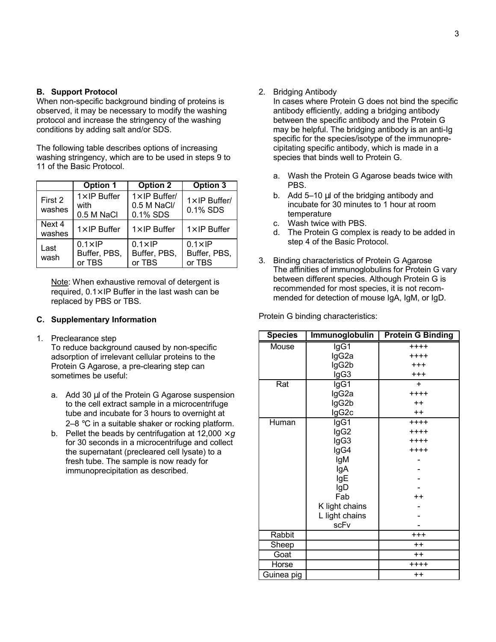#### **B. Support Protocol**

When non-specific background binding of proteins is observed, it may be necessary to modify the washing protocol and increase the stringency of the washing conditions by adding salt and/or SDS.

The following table describes options of increasing washing stringency, which are to be used in steps 9 to 11 of the Basic Protocol.

|                   | <b>Option 1</b>                            | <b>Option 2</b>                                  | Option 3                                  |
|-------------------|--------------------------------------------|--------------------------------------------------|-------------------------------------------|
| First 2<br>washes | $1 \times$ IP Buffer<br>with<br>0.5 M NaCl | $1 \times$ IP Buffer/<br>0.5 M NaCl/<br>0.1% SDS | $1 \times$ IP Buffer/<br>0.1% SDS         |
| Next 4<br>washes  | $1\times$ IP Buffer                        | $1\times$ IP Buffer                              | $1 \times$ IP Buffer                      |
| Last<br>wash      | $0.1 \times$ IP<br>Buffer, PBS,<br>or TBS  | $0.1 \times$ IP<br>Buffer, PBS,<br>or TBS        | $0.1 \times$ IP<br>Buffer, PBS,<br>or TBS |

Note: When exhaustive removal of detergent is required,  $0.1 \times$  IP Buffer in the last wash can be replaced by PBS or TBS.

#### **C. Supplementary Information**

1. Preclearance step

To reduce background caused by non-specific adsorption of irrelevant cellular proteins to the Protein G Agarose, a pre-clearing step can sometimes be useful:

- a. Add 30 μl of the Protein G Agarose suspension to the cell extract sample in a microcentrifuge tube and incubate for 3 hours to overnight at 2–8 °C in a suitable shaker or rocking platform.
- b. Pellet the beads by centrifugation at  $12,000 \times q$ for 30 seconds in a microcentrifuge and collect the supernatant (precleared cell lysate) to a fresh tube. The sample is now ready for immunoprecipitation as described.

2. Bridging Antibody

In cases where Protein G does not bind the specific antibody efficiently, adding a bridging antibody between the specific antibody and the Protein G may be helpful. The bridging antibody is an anti-Ig specific for the species/isotype of the immunoprecipitating specific antibody, which is made in a species that binds well to Protein G.

- a. Wash the Protein G Agarose beads twice with PBS.
- b. Add 5–10 μl of the bridging antibody and incubate for 30 minutes to 1 hour at room temperature
- c. Wash twice with PBS.
- d. The Protein G complex is ready to be added in step 4 of the Basic Protocol.
- 3. Binding characteristics of Protein G Agarose The affinities of immunoglobulins for Protein G vary between different species. Although Protein G is recommended for most species, it is not recommended for detection of mouse IgA, IgM, or IgD.

Protein G binding characteristics:

| <b>Species</b> | Immunoglobulin | <b>Protein G Binding</b> |
|----------------|----------------|--------------------------|
| Mouse          | lgG1           | $++++$                   |
|                | lgG2a          | $++++$                   |
|                | lgG2b          | $+ + +$                  |
|                | IgG3           | $^{+ + +}$               |
| Rat            | IgG1           | $\ddot{}$                |
|                | lgG2a          | $++++$                   |
|                | lgG2b          | $^{\mathrm{+}}$          |
|                | lgG2c          | $++$                     |
| Human          | lgG1           | $++++$                   |
|                | lgG2           | $++++$                   |
|                | lgG3           | $++++$                   |
|                | lgG4           | $++++$                   |
|                | IgM            |                          |
|                | lgA            |                          |
|                | <b>IgE</b>     |                          |
|                | IgD            |                          |
|                | Fab            | $++$                     |
|                | K light chains |                          |
|                | L light chains |                          |
|                | scFv           |                          |
| Rabbit         |                | $^{+ + +}$               |
| Sheep          |                | $++$                     |
| Goat           |                | $+ +$                    |
| Horse          |                | $++++$                   |
| Guinea pig     |                | $++$                     |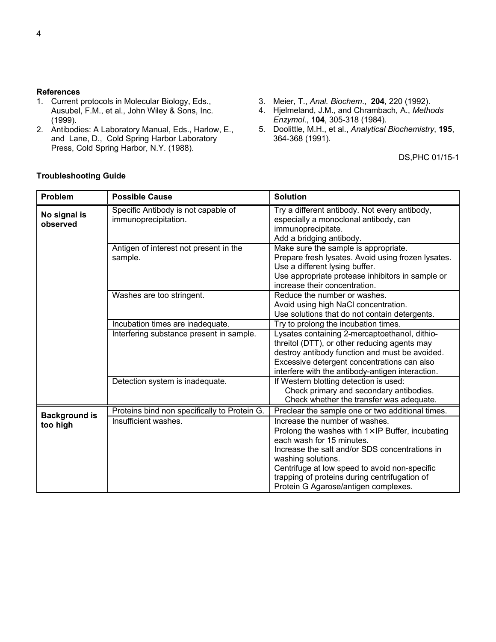#### **References**

- 1. Current protocols in Molecular Biology, Eds., Ausubel, F.M., et al., John Wiley & Sons, Inc. (1999).
- 2. Antibodies: A Laboratory Manual, Eds., Harlow, E., and Lane, D., Cold Spring Harbor Laboratory Press, Cold Spring Harbor, N.Y. (1988).
- 3. Meier, T., *Anal. Biochem*., **204**, 220 (1992).
- 4. Hjelmeland, J.M., and Chrambach, A., *Methods Enzymol*., **104**, 305-318 (1984).
- 5. Doolittle, M.H., et al., *Analytical Biochemistry*, **195**, 364-368 (1991).

DS,PHC 01/15-1

٦

| Problem                  | <b>Possible Cause</b>                                       | <b>Solution</b>                                                                                                                                                                                                                                                                                                                           |
|--------------------------|-------------------------------------------------------------|-------------------------------------------------------------------------------------------------------------------------------------------------------------------------------------------------------------------------------------------------------------------------------------------------------------------------------------------|
| No signal is<br>observed | Specific Antibody is not capable of<br>immunoprecipitation. | Try a different antibody. Not every antibody,<br>especially a monoclonal antibody, can<br>immunoprecipitate.<br>Add a bridging antibody.                                                                                                                                                                                                  |
|                          | Antigen of interest not present in the<br>sample.           | Make sure the sample is appropriate.<br>Prepare fresh lysates. Avoid using frozen lysates.<br>Use a different lysing buffer.<br>Use appropriate protease inhibitors in sample or<br>increase their concentration.                                                                                                                         |
|                          | Washes are too stringent.                                   | Reduce the number or washes.<br>Avoid using high NaCl concentration.<br>Use solutions that do not contain detergents.                                                                                                                                                                                                                     |
|                          | Incubation times are inadequate.                            | Try to prolong the incubation times.                                                                                                                                                                                                                                                                                                      |
|                          | Interfering substance present in sample.                    | Lysates containing 2-mercaptoethanol, dithio-<br>threitol (DTT), or other reducing agents may<br>destroy antibody function and must be avoided.<br>Excessive detergent concentrations can also<br>interfere with the antibody-antigen interaction.                                                                                        |
|                          | Detection system is inadequate.                             | If Western blotting detection is used:<br>Check primary and secondary antibodies.<br>Check whether the transfer was adequate.                                                                                                                                                                                                             |
| <b>Background is</b>     | Proteins bind non specifically to Protein G.                | Preclear the sample one or two additional times.                                                                                                                                                                                                                                                                                          |
| too high                 | Insufficient washes.                                        | Increase the number of washes.<br>Prolong the washes with $1 \times$ IP Buffer, incubating<br>each wash for 15 minutes.<br>Increase the salt and/or SDS concentrations in<br>washing solutions.<br>Centrifuge at low speed to avoid non-specific<br>trapping of proteins during centrifugation of<br>Protein G Agarose/antigen complexes. |

# **Troubleshooting Guide**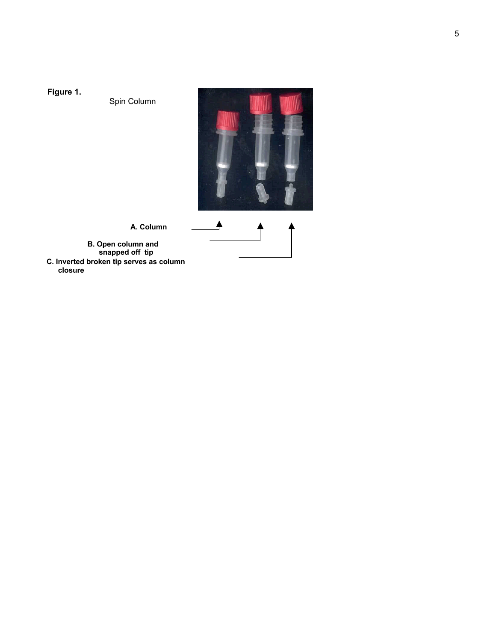